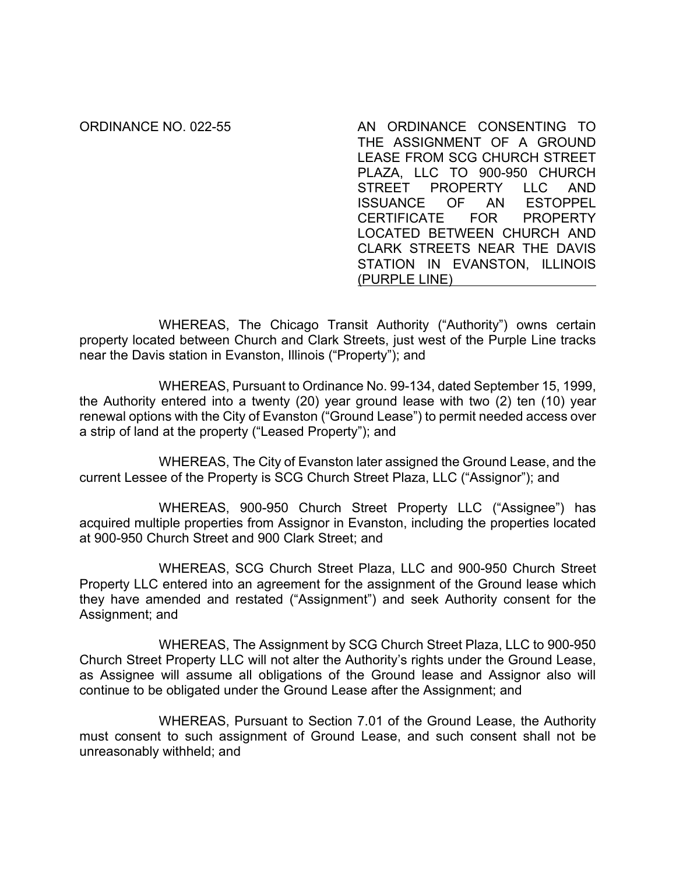ORDINANCE NO. 022-55 AN ORDINANCE CONSENTING TO THE ASSIGNMENT OF A GROUND LEASE FROM SCG CHURCH STREET PLAZA, LLC TO 900-950 CHURCH STREET PROPERTY LLC AND ISSUANCE OF AN ESTOPPEL CERTIFICATE FOR PROPERTY LOCATED BETWEEN CHURCH AND CLARK STREETS NEAR THE DAVIS STATION IN EVANSTON, ILLINOIS (PURPLE LINE)

WHEREAS, The Chicago Transit Authority ("Authority") owns certain property located between Church and Clark Streets, just west of the Purple Line tracks near the Davis station in Evanston, Illinois ("Property"); and

WHEREAS, Pursuant to Ordinance No. 99-134, dated September 15, 1999, the Authority entered into a twenty (20) year ground lease with two (2) ten (10) year renewal options with the City of Evanston ("Ground Lease") to permit needed access over a strip of land at the property ("Leased Property"); and

WHEREAS, The City of Evanston later assigned the Ground Lease, and the current Lessee of the Property is SCG Church Street Plaza, LLC ("Assignor"); and

WHEREAS, 900-950 Church Street Property LLC ("Assignee") has acquired multiple properties from Assignor in Evanston, including the properties located at 900-950 Church Street and 900 Clark Street; and

WHEREAS, SCG Church Street Plaza, LLC and 900-950 Church Street Property LLC entered into an agreement for the assignment of the Ground lease which they have amended and restated ("Assignment") and seek Authority consent for the Assignment; and

WHEREAS, The Assignment by SCG Church Street Plaza, LLC to 900-950 Church Street Property LLC will not alter the Authority's rights under the Ground Lease, as Assignee will assume all obligations of the Ground lease and Assignor also will continue to be obligated under the Ground Lease after the Assignment; and

WHEREAS, Pursuant to Section 7.01 of the Ground Lease, the Authority must consent to such assignment of Ground Lease, and such consent shall not be unreasonably withheld; and